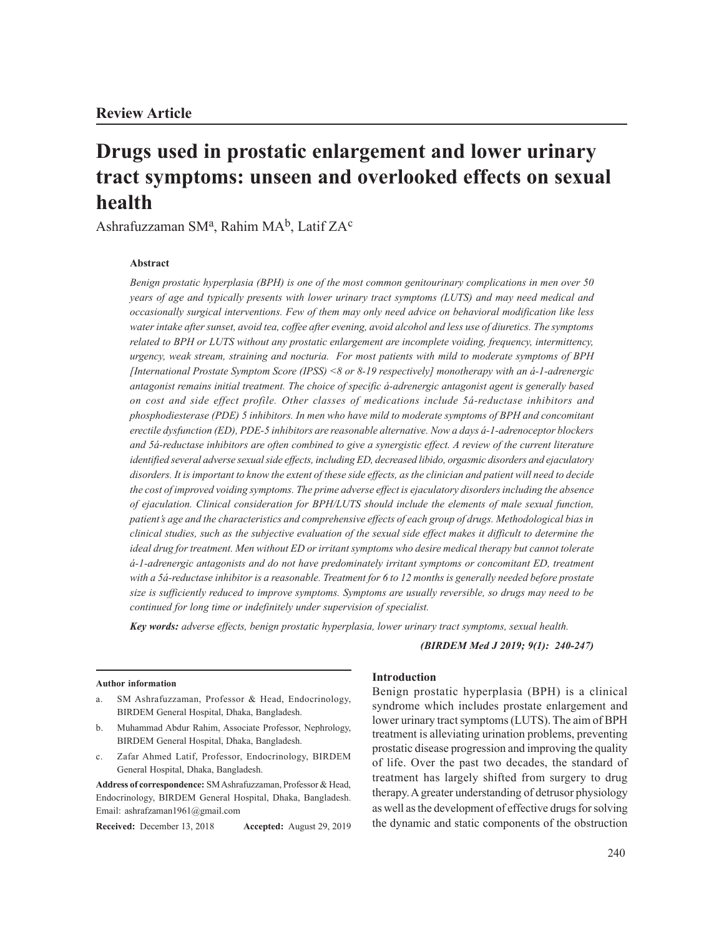# **Drugs used in prostatic enlargement and lower urinary tract symptoms: unseen and overlooked effects on sexual health**

Ashrafuzzaman SMª, Rahim MA $^{\rm b}$ , Latif ZA $^{\rm c}$ 

### **Abstract**

*Benign prostatic hyperplasia (BPH) is one of the most common genitourinary complications in men over 50 years of age and typically presents with lower urinary tract symptoms (LUTS) and may need medical and occasionally surgical interventions. Few of them may only need advice on behavioral modification like less water intake after sunset, avoid tea, coffee after evening, avoid alcohol and less use of diuretics. The symptoms related to BPH or LUTS without any prostatic enlargement are incomplete voiding, frequency, intermittency, urgency, weak stream, straining and nocturia. For most patients with mild to moderate symptoms of BPH [International Prostate Symptom Score (IPSS) <8 or 8-19 respectively] monotherapy with an á-1-adrenergic antagonist remains initial treatment. The choice of specific á-adrenergic antagonist agent is generally based on cost and side effect profile. Other classes of medications include 5á-reductase inhibitors and phosphodiesterase (PDE) 5 inhibitors. In men who have mild to moderate symptoms of BPH and concomitant erectile dysfunction (ED), PDE-5 inhibitors are reasonable alternative. Now a days á-1-adrenoceptor blockers and 5á-reductase inhibitors are often combined to give a synergistic effect. A review of the current literature identified several adverse sexual side effects, including ED, decreased libido, orgasmic disorders and ejaculatory disorders. It is important to know the extent of these side effects, as the clinician and patient will need to decide the cost of improved voiding symptoms. The prime adverse effect is ejaculatory disorders including the absence of ejaculation. Clinical consideration for BPH/LUTS should include the elements of male sexual function, patient's age and the characteristics and comprehensive effects of each group of drugs. Methodological bias in clinical studies, such as the subjective evaluation of the sexual side effect makes it difficult to determine the ideal drug for treatment. Men without ED or irritant symptoms who desire medical therapy but cannot tolerate á-1-adrenergic antagonists and do not have predominately irritant symptoms or concomitant ED, treatment with a 5á-reductase inhibitor is a reasonable. Treatment for 6 to 12 months is generally needed before prostate size is sufficiently reduced to improve symptoms. Symptoms are usually reversible, so drugs may need to be continued for long time or indefinitely under supervision of specialist.* 

*Key words: adverse effects, benign prostatic hyperplasia, lower urinary tract symptoms, sexual health.*

*(BIRDEM Med J 2019; 9(1): 240-247)*

#### **Author information**

- a. SM Ashrafuzzaman, Professor & Head, Endocrinology, BIRDEM General Hospital, Dhaka, Bangladesh.
- b. Muhammad Abdur Rahim, Associate Professor, Nephrology, BIRDEM General Hospital, Dhaka, Bangladesh.
- c. Zafar Ahmed Latif, Professor, Endocrinology, BIRDEM General Hospital, Dhaka, Bangladesh.

**Address of correspondence:** SM Ashrafuzzaman, Professor & Head, Endocrinology, BIRDEM General Hospital, Dhaka, Bangladesh. Email: ashrafzaman1961@gmail.com

**Received:** December 13, 2018 **Accepted:** August 29, 2019

#### **Introduction**

Benign prostatic hyperplasia (BPH) is a clinical syndrome which includes prostate enlargement and lower urinary tract symptoms (LUTS). The aim of BPH treatment is alleviating urination problems, preventing prostatic disease progression and improving the quality of life. Over the past two decades, the standard of treatment has largely shifted from surgery to drug therapy. A greater understanding of detrusor physiology as well as the development of effective drugs for solving the dynamic and static components of the obstruction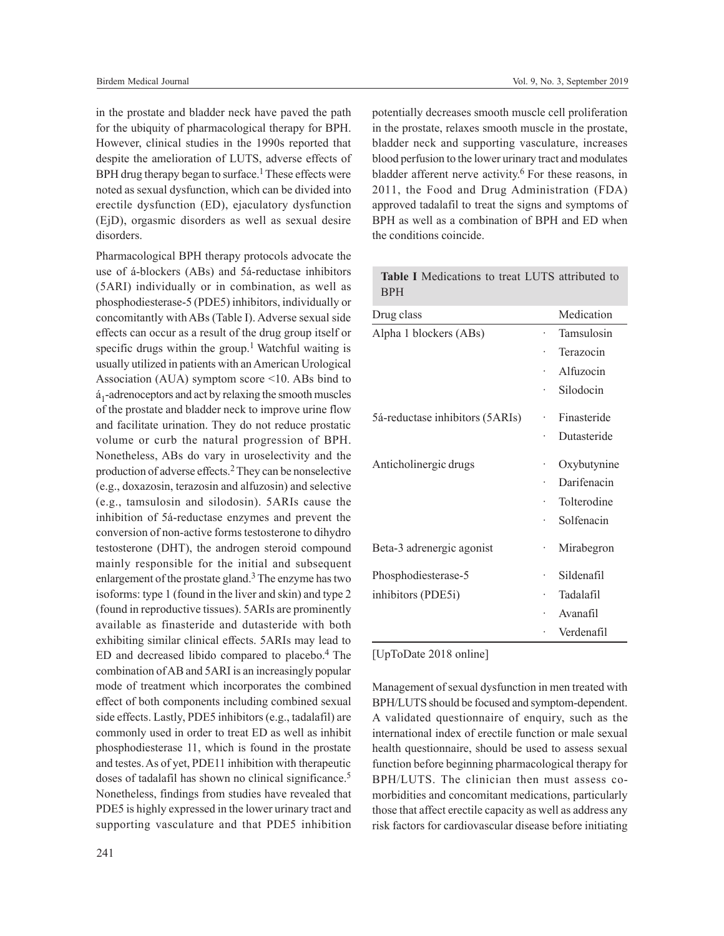in the prostate and bladder neck have paved the path for the ubiquity of pharmacological therapy for BPH. However, clinical studies in the 1990s reported that despite the amelioration of LUTS, adverse effects of BPH drug therapy began to surface.<sup>1</sup> These effects were noted as sexual dysfunction, which can be divided into erectile dysfunction (ED), ejaculatory dysfunction (EjD), orgasmic disorders as well as sexual desire disorders.

Pharmacological BPH therapy protocols advocate the use of á-blockers (ABs) and 5á-reductase inhibitors (5ARI) individually or in combination, as well as phosphodiesterase-5 (PDE5) inhibitors, individually or concomitantly with ABs (Table I). Adverse sexual side effects can occur as a result of the drug group itself or specific drugs within the group.<sup>1</sup> Watchful waiting is usually utilized in patients with an American Urological Association (AUA) symptom score <10. ABs bind to á 1 -adrenoceptors and act by relaxing the smooth muscles of the prostate and bladder neck to improve urine flow and facilitate urination. They do not reduce prostatic volume or curb the natural progression of BPH. Nonetheless, ABs do vary in uroselectivity and the production of adverse effects.2 They can be nonselective (e.g., doxazosin, terazosin and alfuzosin) and selective (e.g., tamsulosin and silodosin). 5ARIs cause the inhibition of 5á-reductase enzymes and prevent the conversion of non-active forms testosterone to dihydro testosterone (DHT), the androgen steroid compound mainly responsible for the initial and subsequent enlargement of the prostate gland.<sup>3</sup> The enzyme has two isoforms: type 1 (found in the liver and skin) and type 2 (found in reproductive tissues). 5ARIs are prominently available as finasteride and dutasteride with both exhibiting similar clinical effects. 5ARIs may lead to  $ED$  and decreased libido compared to placebo.<sup>4</sup> The combination of AB and 5ARI is an increasingly popular mode of treatment which incorporates the combined effect of both components including combined sexual side effects. Lastly, PDE5 inhibitors (e.g., tadalafil) are commonly used in order to treat ED as well as inhibit phosphodiesterase 11, which is found in the prostate and testes. As of yet, PDE11 inhibition with therapeutic doses of tadalafil has shown no clinical significance.<sup>5</sup> Nonetheless, findings from studies have revealed that PDE5 is highly expressed in the lower urinary tract and supporting vasculature and that PDE5 inhibition

potentially decreases smooth muscle cell proliferation in the prostate, relaxes smooth muscle in the prostate, bladder neck and supporting vasculature, increases blood perfusion to the lower urinary tract and modulates bladder afferent nerve activity.<sup>6</sup> For these reasons, in 2011, the Food and Drug Administration (FDA) approved tadalafil to treat the signs and symptoms of BPH as well as a combination of BPH and ED when the conditions coincide.

| Drug class                      |   | Medication  |
|---------------------------------|---|-------------|
| Alpha 1 blockers (ABs)          |   | Tamsulosin  |
|                                 |   | Terazocin   |
|                                 |   | Alfuzocin   |
|                                 |   | Silodocin   |
| 5á-reductase inhibitors (5ARIs) |   | Finasteride |
|                                 |   | Dutasteride |
| Anticholinergic drugs           |   | Oxybutynine |
|                                 |   | Darifenacin |
|                                 |   | Tolterodine |
|                                 |   | Solfenacin  |
| Beta-3 adrenergic agonist       | ۰ | Mirabegron  |
| Phosphodiesterase-5             | ۰ | Sildenafil  |
| inhibitors (PDE5i)              |   | Tadalafil   |
|                                 |   | Avanafil    |
|                                 |   | Verdenafil  |

**Table I** Medications to treat LUTS attributed to BPH

## [UpToDate 2018 online]

Management of sexual dysfunction in men treated with BPH/LUTS should be focused and symptom-dependent. A validated questionnaire of enquiry, such as the international index of erectile function or male sexual health questionnaire, should be used to assess sexual function before beginning pharmacological therapy for BPH/LUTS. The clinician then must assess comorbidities and concomitant medications, particularly those that affect erectile capacity as well as address any risk factors for cardiovascular disease before initiating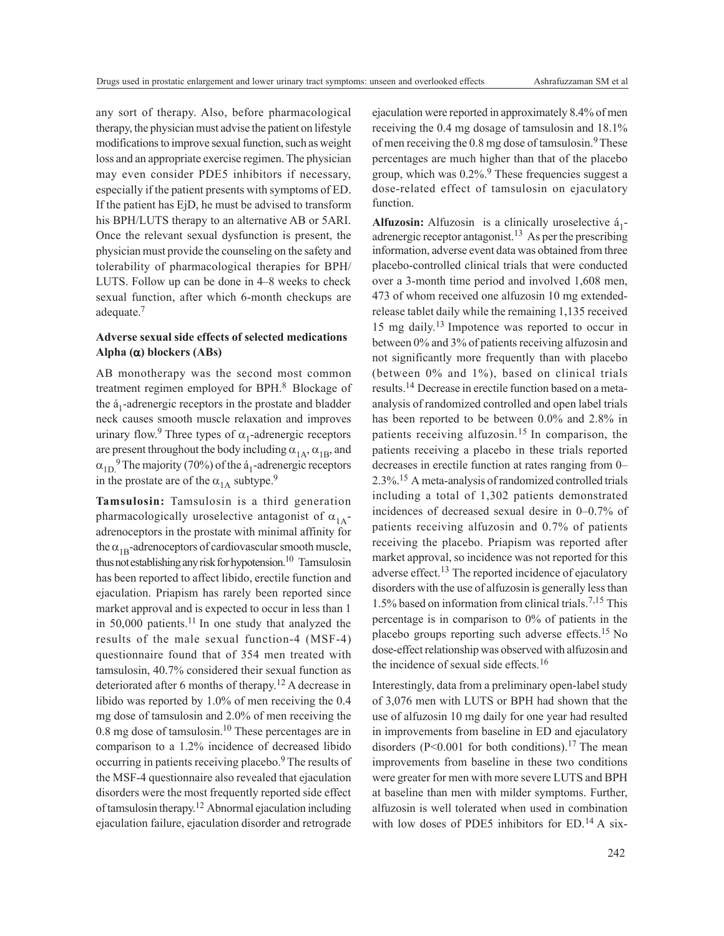any sort of therapy. Also, before pharmacological therapy, the physician must advise the patient on lifestyle modifications to improve sexual function, such as weight loss and an appropriate exercise regimen. The physician may even consider PDE5 inhibitors if necessary, especially if the patient presents with symptoms of ED. If the patient has EjD, he must be advised to transform his BPH/LUTS therapy to an alternative AB or 5ARI. Once the relevant sexual dysfunction is present, the physician must provide the counseling on the safety and tolerability of pharmacological therapies for BPH/ LUTS. Follow up can be done in 4–8 weeks to check sexual function, after which 6-month checkups are adequate.<sup>7</sup>

## **Adverse sexual side effects of selected medications Alpha (**a**) blockers (ABs)**

AB monotherapy was the second most common treatment regimen employed for BPH.<sup>8</sup> Blockage of the  $a_1$ -adrenergic receptors in the prostate and bladder neck causes smooth muscle relaxation and improves urinary flow.<sup>9</sup> Three types of  $\alpha_1$ -adrenergic receptors are present throughout the body including  $\alpha_{1A}$ ,  $\alpha_{1B}$ , and  $\alpha_{1D}^9$  The majority (70%) of the  $a_1$ -adrenergic receptors in the prostate are of the  $\alpha_{1A}$  subtype.<sup>9</sup>

**Tamsulosin:** Tamsulosin is a third generation pharmacologically uroselective antagonist of  $\alpha_{1\Lambda}$ adrenoceptors in the prostate with minimal affinity for the  $\alpha_{1B}$ -adrenoceptors of cardiovascular smooth muscle, thus not establishing any risk for hypotension.<sup>10</sup> Tamsulosin has been reported to affect libido, erectile function and ejaculation. Priapism has rarely been reported since market approval and is expected to occur in less than 1 in 50,000 patients.<sup>11</sup> In one study that analyzed the results of the male sexual function-4 (MSF-4) questionnaire found that of 354 men treated with tamsulosin, 40.7% considered their sexual function as deteriorated after 6 months of therapy.<sup>12</sup> A decrease in libido was reported by 1.0% of men receiving the 0.4 mg dose of tamsulosin and 2.0% of men receiving the 0.8 mg dose of tamsulosin.<sup>10</sup> These percentages are in comparison to a 1.2% incidence of decreased libido occurring in patients receiving placebo.<sup>9</sup> The results of the MSF-4 questionnaire also revealed that ejaculation disorders were the most frequently reported side effect of tamsulosin therapy. <sup>12</sup> Abnormal ejaculation including ejaculation failure, ejaculation disorder and retrograde

ejaculation were reported in approximately 8.4% of men receiving the 0.4 mg dosage of tamsulosin and 18.1% of men receiving the  $0.8$  mg dose of tamsulosin.<sup>9</sup> These percentages are much higher than that of the placebo group, which was  $0.2\%$ .<sup>9</sup> These frequencies suggest a dose-related effect of tamsulosin on ejaculatory function.

**Alfuzosin:** Alfuzosin is a clinically uroselective  $\acute{a}_1$ adrenergic receptor antagonist.<sup>13</sup> As per the prescribing information, adverse event data was obtained from three placebo-controlled clinical trials that were conducted over a 3-month time period and involved 1,608 men, 473 of whom received one alfuzosin 10 mg extendedrelease tablet daily while the remaining 1,135 received 15 mg daily. <sup>13</sup> Impotence was reported to occur in between 0% and 3% of patients receiving alfuzosin and not significantly more frequently than with placebo (between 0% and 1%), based on clinical trials results.14 Decrease in erectile function based on a metaanalysis of randomized controlled and open label trials has been reported to be between 0.0% and 2.8% in patients receiving alfuzosin.15 In comparison, the patients receiving a placebo in these trials reported decreases in erectile function at rates ranging from 0– 2.3%.15 A meta-analysis of randomized controlled trials including a total of 1,302 patients demonstrated incidences of decreased sexual desire in 0–0.7% of patients receiving alfuzosin and 0.7% of patients receiving the placebo. Priapism was reported after market approval, so incidence was not reported for this adverse effect.<sup>13</sup> The reported incidence of ejaculatory disorders with the use of alfuzosin is generally less than 1.5% based on information from clinical trials.7,15 This percentage is in comparison to 0% of patients in the placebo groups reporting such adverse effects.15 No dose-effect relationship was observed with alfuzosin and the incidence of sexual side effects.<sup>16</sup>

Interestingly, data from a preliminary open-label study of 3,076 men with LUTS or BPH had shown that the use of alfuzosin 10 mg daily for one year had resulted in improvements from baseline in ED and ejaculatory disorders ( $P<0.001$  for both conditions).<sup>17</sup> The mean improvements from baseline in these two conditions were greater for men with more severe LUTS and BPH at baseline than men with milder symptoms. Further, alfuzosin is well tolerated when used in combination with low doses of PDE5 inhibitors for ED.<sup>14</sup> A six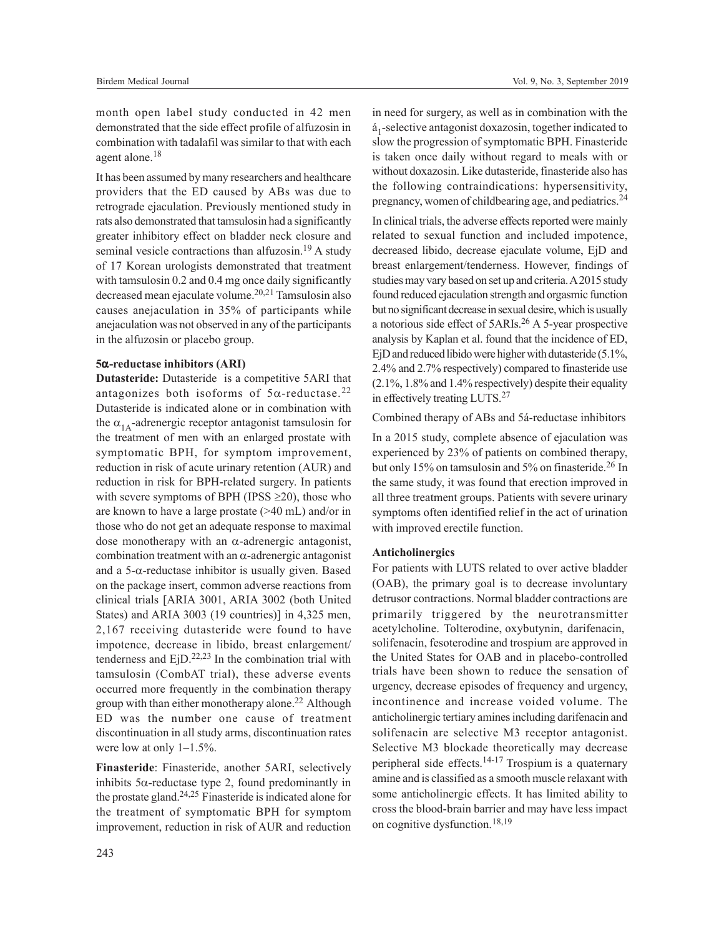month open label study conducted in 42 men demonstrated that the side effect profile of alfuzosin in combination with tadalafil was similar to that with each agent alone.<sup>18</sup>

It has been assumed by many researchers and healthcare providers that the ED caused by ABs was due to retrograde ejaculation. Previously mentioned study in rats also demonstrated that tamsulosin had a significantly greater inhibitory effect on bladder neck closure and seminal vesicle contractions than alfuzosin.<sup>19</sup> A study of 17 Korean urologists demonstrated that treatment with tamsulosin 0.2 and 0.4 mg once daily significantly decreased mean ejaculate volume.20,21 Tamsulosin also causes anejaculation in 35% of participants while anejaculation was not observed in any of the participants in the alfuzosin or placebo group.

#### **5**a**-reductase inhibitors (ARI)**

**Dutasteride:** Dutasteride is a competitive 5ARI that antagonizes both isoforms of  $5\alpha$ -reductase.<sup>22</sup> Dutasteride is indicated alone or in combination with the  $\alpha_{1\text{A}}$ -adrenergic receptor antagonist tamsulosin for the treatment of men with an enlarged prostate with symptomatic BPH, for symptom improvement, reduction in risk of acute urinary retention (AUR) and reduction in risk for BPH-related surgery. In patients with severe symptoms of BPH (IPSS  $\geq$ 20), those who are known to have a large prostate (>40 mL) and/or in those who do not get an adequate response to maximal dose monotherapy with an  $\alpha$ -adrenergic antagonist, combination treatment with an  $\alpha$ -adrenergic antagonist and a  $5$ - $\alpha$ -reductase inhibitor is usually given. Based on the package insert, common adverse reactions from clinical trials [ARIA 3001, ARIA 3002 (both United States) and ARIA 3003 (19 countries)] in 4,325 men, 2,167 receiving dutasteride were found to have impotence, decrease in libido, breast enlargement/ tenderness and  $E$ jD.<sup>22,23</sup> In the combination trial with tamsulosin (CombAT trial), these adverse events occurred more frequently in the combination therapy group with than either monotherapy alone.<sup>22</sup> Although ED was the number one cause of treatment discontinuation in all study arms, discontinuation rates were low at only 1–1.5%.

**Finasteride**: Finasteride, another 5ARI, selectively inhibits  $5\alpha$ -reductase type 2, found predominantly in the prostate gland.<sup>24,25</sup> Finasteride is indicated alone for the treatment of symptomatic BPH for symptom improvement, reduction in risk of AUR and reduction

in need for surgery, as well as in combination with the á 1 -selective antagonist doxazosin, together indicated to slow the progression of symptomatic BPH. Finasteride is taken once daily without regard to meals with or without doxazosin. Like dutasteride, finasteride also has the following contraindications: hypersensitivity, pregnancy, women of childbearing age, and pediatrics.<sup>24</sup>

In clinical trials, the adverse effects reported were mainly related to sexual function and included impotence, decreased libido, decrease ejaculate volume, EjD and breast enlargement/tenderness. However, findings of studies may vary based on set up and criteria. A 2015 study found reduced ejaculation strength and orgasmic function but no significant decrease in sexual desire, which is usually a notorious side effect of 5ARIs.26 A 5-year prospective analysis by Kaplan et al. found that the incidence of ED, EjD and reduced libido were higher with dutasteride (5.1%, 2.4% and 2.7% respectively) compared to finasteride use (2.1%, 1.8% and 1.4% respectively) despite their equality in effectively treating LUTS.<sup>27</sup>

#### Combined therapy of ABs and 5á-reductase inhibitors

In a 2015 study, complete absence of ejaculation was experienced by 23% of patients on combined therapy, but only 15% on tamsulosin and 5% on finasteride.<sup>26</sup> In the same study, it was found that erection improved in all three treatment groups. Patients with severe urinary symptoms often identified relief in the act of urination with improved erectile function.

#### **Anticholinergics**

For patients with LUTS related to over active bladder (OAB), the primary goal is to decrease involuntary detrusor contractions. Normal bladder contractions are primarily triggered by the neurotransmitter acetylcholine. Tolterodine, oxybutynin, darifenacin, solifenacin, fesoterodine and trospium are approved in the United States for OAB and in placebo-controlled trials have been shown to reduce the sensation of urgency, decrease episodes of frequency and urgency, incontinence and increase voided volume. The anticholinergic tertiary amines including darifenacin and solifenacin are selective M3 receptor antagonist. Selective M3 blockade theoretically may decrease peripheral side effects.<sup>14-17</sup> Trospium is a quaternary amine and is classified as a smooth muscle relaxant with some anticholinergic effects. It has limited ability to cross the blood-brain barrier and may have less impact on cognitive dysfunction.18,19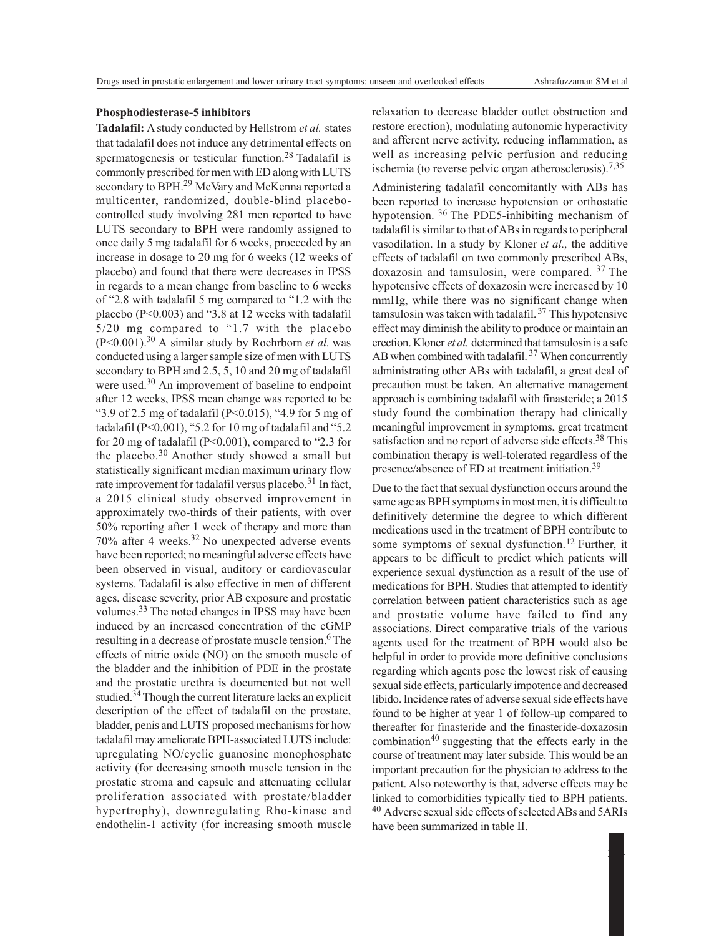#### **Phosphodiesterase-5 inhibitors**

**Tadalafil:** A study conducted by Hellstrom *et al.* states that tadalafil does not induce any detrimental effects on spermatogenesis or testicular function.<sup>28</sup> Tadalafil is commonly prescribed for men with ED along with LUTS secondary to BPH.<sup>29</sup> McVary and McKenna reported a multicenter, randomized, double-blind placebocontrolled study involving 281 men reported to have LUTS secondary to BPH were randomly assigned to once daily 5 mg tadalafil for 6 weeks, proceeded by an increase in dosage to 20 mg for 6 weeks (12 weeks of placebo) and found that there were decreases in IPSS in regards to a mean change from baseline to 6 weeks of "2.8 with tadalafil 5 mg compared to "1.2 with the placebo (P<0.003) and "3.8 at 12 weeks with tadalafil 5/20 mg compared to "1.7 with the placebo  $(P<0.001)$ .<sup>30</sup> A similar study by Roehrborn *et al.* was conducted using a larger sample size of men with LUTS secondary to BPH and 2.5, 5, 10 and 20 mg of tadalafil were used.<sup>30</sup> An improvement of baseline to endpoint after 12 weeks, IPSS mean change was reported to be "3.9 of 2.5 mg of tadalafil (P<0.015), "4.9 for 5 mg of tadalafil (P<0.001), "5.2 for 10 mg of tadalafil and "5.2 for 20 mg of tadalafil (P<0.001), compared to "2.3 for the placebo.30 Another study showed a small but statistically significant median maximum urinary flow rate improvement for tadalafil versus placebo.<sup>31</sup> In fact, a 2015 clinical study observed improvement in approximately two-thirds of their patients, with over 50% reporting after 1 week of therapy and more than 70% after 4 weeks.32 No unexpected adverse events have been reported; no meaningful adverse effects have been observed in visual, auditory or cardiovascular systems. Tadalafil is also effective in men of different ages, disease severity, prior AB exposure and prostatic volumes.33 The noted changes in IPSS may have been induced by an increased concentration of the cGMP resulting in a decrease of prostate muscle tension.6 The effects of nitric oxide (NO) on the smooth muscle of the bladder and the inhibition of PDE in the prostate and the prostatic urethra is documented but not well studied.<sup>34</sup> Though the current literature lacks an explicit description of the effect of tadalafil on the prostate, bladder, penis and LUTS proposed mechanisms for how tadalafil may ameliorate BPH-associated LUTS include: upregulating NO/cyclic guanosine monophosphate activity (for decreasing smooth muscle tension in the prostatic stroma and capsule and attenuating cellular proliferation associated with prostate/bladder hypertrophy), downregulating Rho-kinase and endothelin-1 activity (for increasing smooth muscle

relaxation to decrease bladder outlet obstruction and restore erection), modulating autonomic hyperactivity and afferent nerve activity, reducing inflammation, as well as increasing pelvic perfusion and reducing ischemia (to reverse pelvic organ atherosclerosis).7,35

Administering tadalafil concomitantly with ABs has been reported to increase hypotension or orthostatic hypotension. 36 The PDE5-inhibiting mechanism of tadalafil is similar to that of ABs in regards to peripheral vasodilation. In a study by Kloner *et al.,* the additive effects of tadalafil on two commonly prescribed ABs, doxazosin and tamsulosin, were compared. 37 The hypotensive effects of doxazosin were increased by 10 mmHg, while there was no significant change when tamsulosin was taken with tadalafil.<sup>37</sup> This hypotensive effect may diminish the ability to produce or maintain an erection. Kloner *et al.* determined that tamsulosin is a safe AB when combined with tadalafil.<sup>37</sup> When concurrently administrating other ABs with tadalafil, a great deal of precaution must be taken. An alternative management approach is combining tadalafil with finasteride; a 2015 study found the combination therapy had clinically meaningful improvement in symptoms, great treatment satisfaction and no report of adverse side effects.<sup>38</sup> This combination therapy is well-tolerated regardless of the presence/absence of ED at treatment initiation.<sup>39</sup>

Due to the fact that sexual dysfunction occurs around the same age as BPH symptoms in most men, it is difficult to definitively determine the degree to which different medications used in the treatment of BPH contribute to some symptoms of sexual dysfunction.<sup>12</sup> Further, it appears to be difficult to predict which patients will experience sexual dysfunction as a result of the use of medications for BPH. Studies that attempted to identify correlation between patient characteristics such as age and prostatic volume have failed to find any associations. Direct comparative trials of the various agents used for the treatment of BPH would also be helpful in order to provide more definitive conclusions regarding which agents pose the lowest risk of causing sexual side effects, particularly impotence and decreased libido. Incidence rates of adverse sexual side effects have found to be higher at year 1 of follow-up compared to thereafter for finasteride and the finasteride-doxazosin combination $40$  suggesting that the effects early in the course of treatment may later subside. This would be an important precaution for the physician to address to the patient. Also noteworthy is that, adverse effects may be linked to comorbidities typically tied to BPH patients. <sup>40</sup> Adverse sexual side effects of selected ABs and 5ARIs have been summarized in table II.

244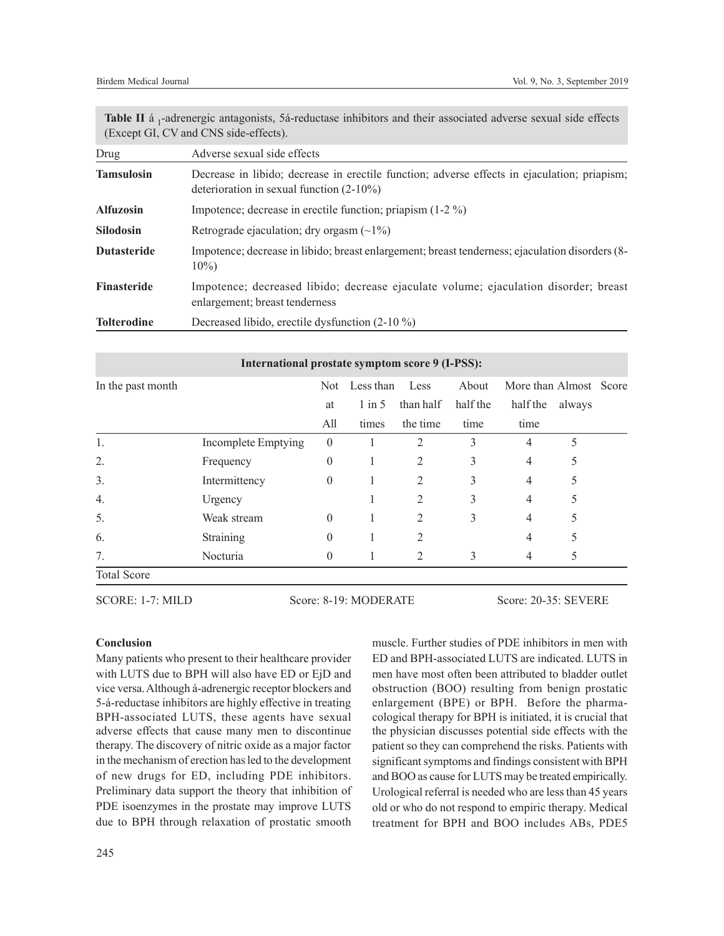Table II á <sub>1</sub>-adrenergic antagonists, 5á-reductase inhibitors and their associated adverse sexual side effects (Except GI, CV and CNS side-effects).

| Drug               | Adverse sexual side effects                                                                                                                 |  |  |  |  |  |  |
|--------------------|---------------------------------------------------------------------------------------------------------------------------------------------|--|--|--|--|--|--|
| <b>Tamsulosin</b>  | Decrease in libido; decrease in erectile function; adverse effects in ejaculation; priapism;<br>deterioration in sexual function $(2-10\%)$ |  |  |  |  |  |  |
| <b>Alfuzosin</b>   | Impotence; decrease in erectile function; priapism $(1-2\%)$                                                                                |  |  |  |  |  |  |
| <b>Silodosin</b>   | Retrograde ejaculation; dry orgasm $(\sim 1\%)$                                                                                             |  |  |  |  |  |  |
| <b>Dutasteride</b> | Impotence; decrease in libido; breast enlargement; breast tenderness; ejaculation disorders (8-<br>$10\%)$                                  |  |  |  |  |  |  |
| Finasteride        | Impotence; decreased libido; decrease ejaculate volume; ejaculation disorder; breast<br>enlargement; breast tenderness                      |  |  |  |  |  |  |
| <b>Tolterodine</b> | Decreased libido, erectile dysfunction (2-10 %)                                                                                             |  |  |  |  |  |  |

| International prostate symptom score 9 (I-PSS): |                     |            |                   |                |          |                |                        |  |  |  |
|-------------------------------------------------|---------------------|------------|-------------------|----------------|----------|----------------|------------------------|--|--|--|
| In the past month                               |                     | <b>Not</b> | Less than<br>Less |                | About    |                | More than Almost Score |  |  |  |
|                                                 |                     | at         | $1$ in 5          | than half      | half the | half the       | always                 |  |  |  |
|                                                 |                     | All        | times             | the time       | time     | time           |                        |  |  |  |
| 1.                                              | Incomplete Emptying | $\theta$   |                   | 2              | 3        | $\overline{4}$ |                        |  |  |  |
| 2.                                              | Frequency           | $\theta$   |                   | 2              | 3        | 4              | 5                      |  |  |  |
| 3.                                              | Intermittency       | $\theta$   |                   | 2              | 3        | $\overline{4}$ | 5                      |  |  |  |
| 4.                                              | Urgency             |            |                   | $\overline{2}$ | 3        | $\overline{4}$ | 5                      |  |  |  |
| 5.                                              | Weak stream         | $\Omega$   |                   | 2              | 3        | $\overline{4}$ | 5                      |  |  |  |
| 6.                                              | Straining           | $\Omega$   |                   | 2              |          | $\overline{4}$ | 5                      |  |  |  |
| 7.                                              | Nocturia            | $\Omega$   |                   | $\overline{2}$ | 3        | 4              |                        |  |  |  |
| <b>Total Score</b>                              |                     |            |                   |                |          |                |                        |  |  |  |

SCORE: 1-7: MILD Score: 8-19: MODERATE Score: 20-35: SEVERE

# **Conclusion**

Many patients who present to their healthcare provider with LUTS due to BPH will also have ED or EjD and vice versa. Although á-adrenergic receptor blockers and 5-á-reductase inhibitors are highly effective in treating BPH-associated LUTS, these agents have sexual adverse effects that cause many men to discontinue therapy. The discovery of nitric oxide as a major factor in the mechanism of erection has led to the development of new drugs for ED, including PDE inhibitors. Preliminary data support the theory that inhibition of PDE isoenzymes in the prostate may improve LUTS due to BPH through relaxation of prostatic smooth

muscle. Further studies of PDE inhibitors in men with ED and BPH-associated LUTS are indicated. LUTS in men have most often been attributed to bladder outlet obstruction (BOO) resulting from benign prostatic enlargement (BPE) or BPH. Before the pharmacological therapy for BPH is initiated, it is crucial that the physician discusses potential side effects with the patient so they can comprehend the risks. Patients with significant symptoms and findings consistent with BPH and BOO as cause for LUTS may be treated empirically. Urological referral is needed who are less than 45 years old or who do not respond to empiric therapy. Medical treatment for BPH and BOO includes ABs, PDE5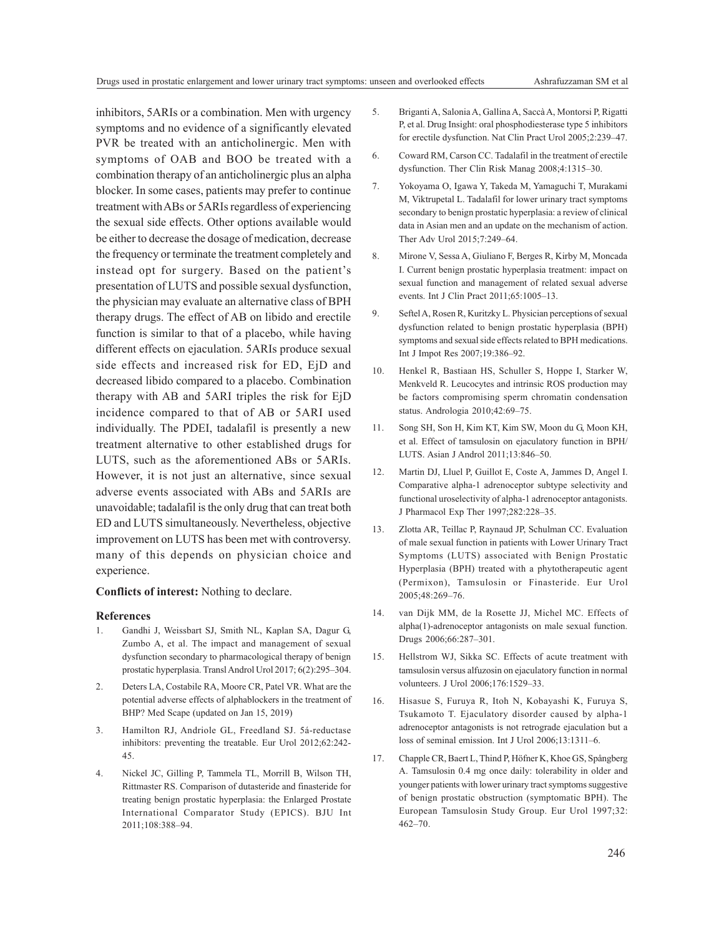inhibitors, 5ARIs or a combination. Men with urgency symptoms and no evidence of a significantly elevated PVR be treated with an anticholinergic. Men with symptoms of OAB and BOO be treated with a combination therapy of an anticholinergic plus an alpha blocker. In some cases, patients may prefer to continue treatment with ABs or 5ARIs regardless of experiencing the sexual side effects. Other options available would be either to decrease the dosage of medication, decrease the frequency or terminate the treatment completely and instead opt for surgery. Based on the patient's presentation of LUTS and possible sexual dysfunction, the physician may evaluate an alternative class of BPH therapy drugs. The effect of AB on libido and erectile function is similar to that of a placebo, while having different effects on ejaculation. 5ARIs produce sexual side effects and increased risk for ED, EjD and decreased libido compared to a placebo. Combination therapy with AB and 5ARI triples the risk for EjD incidence compared to that of AB or 5ARI used individually. The PDEI, tadalafil is presently a new treatment alternative to other established drugs for LUTS, such as the aforementioned ABs or 5ARIs. However, it is not just an alternative, since sexual adverse events associated with ABs and 5ARIs are unavoidable; tadalafil is the only drug that can treat both ED and LUTS simultaneously. Nevertheless, objective improvement on LUTS has been met with controversy. many of this depends on physician choice and experience.

**Conflicts of interest:** Nothing to declare.

#### **References**

- 1. Gandhi J, Weissbart SJ, Smith NL, Kaplan SA, Dagur G, Zumbo A, et al. The impact and management of sexual dysfunction secondary to pharmacological therapy of benign prostatic hyperplasia. Transl Androl Urol 2017; 6(2):295–304.
- 2. Deters LA, Costabile RA, Moore CR, Patel VR. What are the potential adverse effects of alphablockers in the treatment of BHP? Med Scape (updated on Jan 15, 2019)
- 3. Hamilton RJ, Andriole GL, Freedland SJ. 5á-reductase inhibitors: preventing the treatable. Eur Urol 2012;62:242- 45.
- 4. Nickel JC, Gilling P, Tammela TL, Morrill B, Wilson TH, Rittmaster RS. Comparison of dutasteride and finasteride for treating benign prostatic hyperplasia: the Enlarged Prostate International Comparator Study (EPICS). BJU Int 2011;108:388–94.
- 5. Briganti A, Salonia A, Gallina A, Saccà A, Montorsi P, Rigatti P, et al. Drug Insight: oral phosphodiesterase type 5 inhibitors for erectile dysfunction. Nat Clin Pract Urol 2005;2:239–47.
- 6. Coward RM, Carson CC. Tadalafil in the treatment of erectile dysfunction. Ther Clin Risk Manag 2008;4:1315–30.
- 7. Yokoyama O, Igawa Y, Takeda M, Yamaguchi T, Murakami M, Viktrupetal L. Tadalafil for lower urinary tract symptoms secondary to benign prostatic hyperplasia: a review of clinical data in Asian men and an update on the mechanism of action. Ther Adv Urol 2015;7:249–64.
- 8. Mirone V, Sessa A, Giuliano F, Berges R, Kirby M, Moncada I. Current benign prostatic hyperplasia treatment: impact on sexual function and management of related sexual adverse events. Int J Clin Pract 2011;65:1005–13.
- 9. Seftel A, Rosen R, Kuritzky L. Physician perceptions of sexual dysfunction related to benign prostatic hyperplasia (BPH) symptoms and sexual side effects related to BPH medications. Int J Impot Res 2007;19:386–92.
- 10. Henkel R, Bastiaan HS, Schuller S, Hoppe I, Starker W, Menkveld R. Leucocytes and intrinsic ROS production may be factors compromising sperm chromatin condensation status. Andrologia 2010;42:69–75.
- 11. Song SH, Son H, Kim KT, Kim SW, Moon du G, Moon KH, et al. Effect of tamsulosin on ejaculatory function in BPH/ LUTS. Asian J Androl 2011;13:846–50.
- 12. Martin DJ, Lluel P, Guillot E, Coste A, Jammes D, Angel I. Comparative alpha-1 adrenoceptor subtype selectivity and functional uroselectivity of alpha-1 adrenoceptor antagonists. J Pharmacol Exp Ther 1997;282:228–35.
- 13. Zlotta AR, Teillac P, Raynaud JP, Schulman CC. Evaluation of male sexual function in patients with Lower Urinary Tract Symptoms (LUTS) associated with Benign Prostatic Hyperplasia (BPH) treated with a phytotherapeutic agent (Permixon), Tamsulosin or Finasteride. Eur Urol 2005;48:269–76.
- 14. van Dijk MM, de la Rosette JJ, Michel MC. Effects of alpha(1)-adrenoceptor antagonists on male sexual function. Drugs 2006;66:287–301.
- 15. Hellstrom WJ, Sikka SC. Effects of acute treatment with tamsulosin versus alfuzosin on ejaculatory function in normal volunteers. J Urol 2006;176:1529–33.
- 16. Hisasue S, Furuya R, Itoh N, Kobayashi K, Furuya S, Tsukamoto T. Ejaculatory disorder caused by alpha-1 adrenoceptor antagonists is not retrograde ejaculation but a loss of seminal emission. Int J Urol 2006;13:1311–6.
- 17. Chapple CR, Baert L, Thind P, Höfner K, Khoe GS, Spångberg A. Tamsulosin 0.4 mg once daily: tolerability in older and younger patients with lower urinary tract symptoms suggestive of benign prostatic obstruction (symptomatic BPH). The European Tamsulosin Study Group. Eur Urol 1997;32: 462–70.